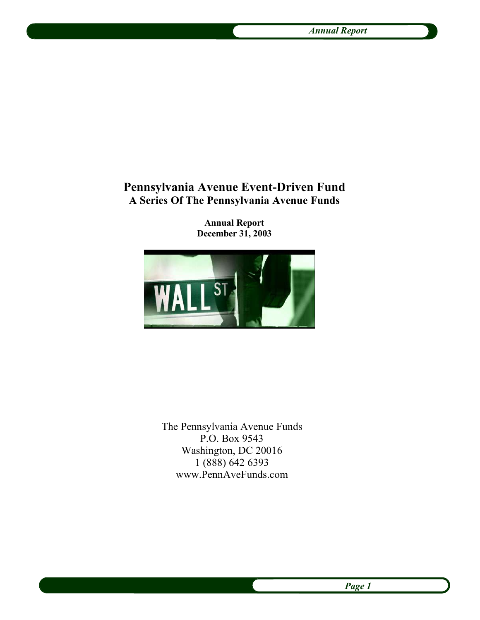# **Pennsylvania Avenue Event-Driven Fund A Series Of The Pennsylvania Avenue Funds**

**Annual Report December 31, 2003**



The Pennsylvania Avenue Funds P.O. Box 9543 Washington, DC 20016 1 (888) 642 6393 www.PennAveFunds.com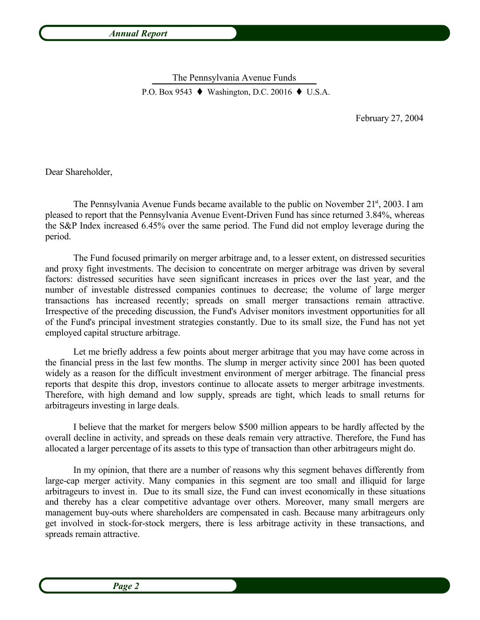The Pennsylvania Avenue Funds THE I CHISYIVANIA AVENUE I UNIS P.O. Box 9543  $\blacklozenge$  Washington, D.C. 20016  $\blacklozenge$  U.S.A.

February 27, 2004

Dear Shareholder,

The Pennsylvania Avenue Funds became available to the public on November 21<sup>st</sup>, 2003. I am pleased to report that the Pennsylvania Avenue Event-Driven Fund has since returned 3.84%, whereas the S&P Index increased 6.45% over the same period. The Fund did not employ leverage during the period.

The Fund focused primarily on merger arbitrage and, to a lesser extent, on distressed securities and proxy fight investments. The decision to concentrate on merger arbitrage was driven by several factors: distressed securities have seen significant increases in prices over the last year, and the number of investable distressed companies continues to decrease; the volume of large merger transactions has increased recently; spreads on small merger transactions remain attractive. Irrespective of the preceding discussion, the Fund's Adviser monitors investment opportunities for all of the Fund's principal investment strategies constantly. Due to its small size, the Fund has not yet employed capital structure arbitrage.

Let me briefly address a few points about merger arbitrage that you may have come across in the financial press in the last few months. The slump in merger activity since 2001 has been quoted widely as a reason for the difficult investment environment of merger arbitrage. The financial press reports that despite this drop, investors continue to allocate assets to merger arbitrage investments. Therefore, with high demand and low supply, spreads are tight, which leads to small returns for arbitrageurs investing in large deals.

I believe that the market for mergers below \$500 million appears to be hardly affected by the overall decline in activity, and spreads on these deals remain very attractive. Therefore, the Fund has allocated a larger percentage of its assets to this type of transaction than other arbitrageurs might do.

In my opinion, that there are a number of reasons why this segment behaves differently from large-cap merger activity. Many companies in this segment are too small and illiquid for large arbitrageurs to invest in. Due to its small size, the Fund can invest economically in these situations and thereby has a clear competitive advantage over others. Moreover, many small mergers are management buy-outs where shareholders are compensated in cash. Because many arbitrageurs only get involved in stock-for-stock mergers, there is less arbitrage activity in these transactions, and spreads remain attractive.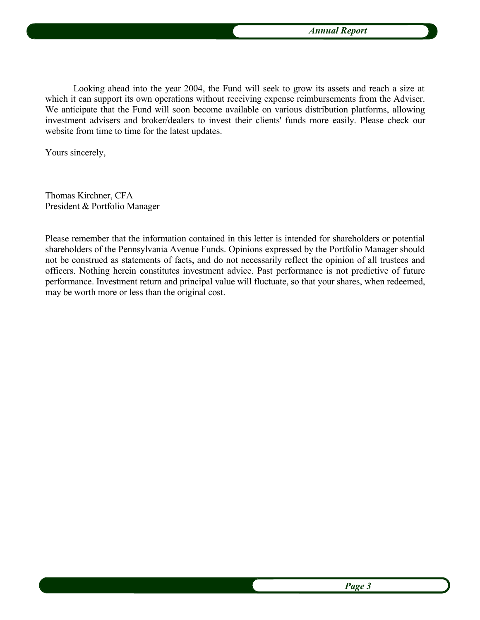Looking ahead into the year 2004, the Fund will seek to grow its assets and reach a size at which it can support its own operations without receiving expense reimbursements from the Adviser. We anticipate that the Fund will soon become available on various distribution platforms, allowing investment advisers and broker/dealers to invest their clients' funds more easily. Please check our website from time to time for the latest updates.

Yours sincerely,

Thomas Kirchner, CFA President & Portfolio Manager

Please remember that the information contained in this letter is intended for shareholders or potential shareholders of the Pennsylvania Avenue Funds. Opinions expressed by the Portfolio Manager should not be construed as statements of facts, and do not necessarily reflect the opinion of all trustees and officers. Nothing herein constitutes investment advice. Past performance is not predictive of future performance. Investment return and principal value will fluctuate, so that your shares, when redeemed, may be worth more or less than the original cost.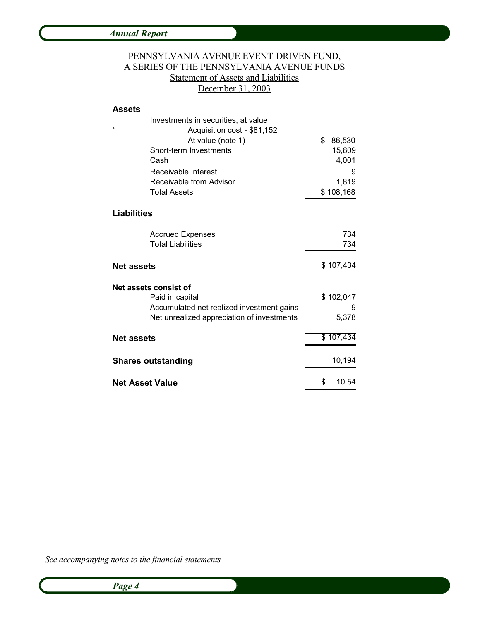## PENNSYLVANIA AVENUE EVENT-DRIVEN FUND, A SERIES OF THE PENNSYLVANIA AVENUE FUNDS Statement of Assets and Liabilities December 31, 2003

#### **Assets**

|                        | Investments in securities, at value        |        |  |           |
|------------------------|--------------------------------------------|--------|--|-----------|
|                        | Acquisition cost - \$81,152                |        |  |           |
|                        | At value (note 1)                          | \$     |  | 86,530    |
|                        | Short-term Investments                     |        |  | 15,809    |
|                        | Cash                                       |        |  | 4,001     |
|                        | Receivable Interest                        |        |  | 9         |
|                        | Receivable from Advisor                    |        |  | 1,819     |
|                        | <b>Total Assets</b>                        |        |  | \$108,168 |
| <b>Liabilities</b>     |                                            |        |  |           |
|                        | <b>Accrued Expenses</b>                    |        |  | 734       |
|                        | <b>Total Liabilities</b>                   |        |  | 734       |
| Net assets             |                                            |        |  | \$107,434 |
| Net assets consist of  |                                            |        |  |           |
|                        | Paid in capital                            |        |  | \$102,047 |
|                        | Accumulated net realized investment gains  |        |  | 9         |
|                        | Net unrealized appreciation of investments |        |  | 5,378     |
| <b>Net assets</b>      |                                            |        |  | \$107,434 |
| Shares outstanding     |                                            | 10,194 |  |           |
| <b>Net Asset Value</b> |                                            | \$     |  | 10.54     |

*See accompanying notes to the financial statements*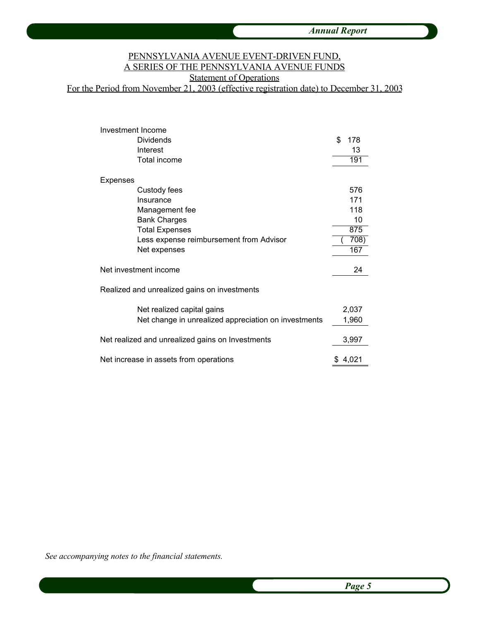# PENNSYLVANIA AVENUE EVENT-DRIVEN FUND, A SERIES OF THE PENNSYLVANIA AVENUE FUNDS **Statement of Operations**

For the Period from November 21, 2003 (effective registration date) to December 31, 2003

| Investment Income                                    |           |
|------------------------------------------------------|-----------|
| <b>Dividends</b>                                     | \$<br>178 |
| Interest                                             | 13        |
| Total income                                         | 191       |
| Expenses                                             |           |
| Custody fees                                         | 576       |
| Insurance                                            | 171       |
| Management fee                                       | 118       |
| <b>Bank Charges</b>                                  | 10        |
| <b>Total Expenses</b>                                | 875       |
| Less expense reimbursement from Advisor              | 708)      |
| Net expenses                                         | 167       |
| Net investment income                                |           |
| Realized and unrealized gains on investments         |           |
| Net realized capital gains                           | 2,037     |
| Net change in unrealized appreciation on investments | 1,960     |
| Net realized and unrealized gains on Investments     |           |
| Net increase in assets from operations               |           |

*See accompanying notes to the financial statements.*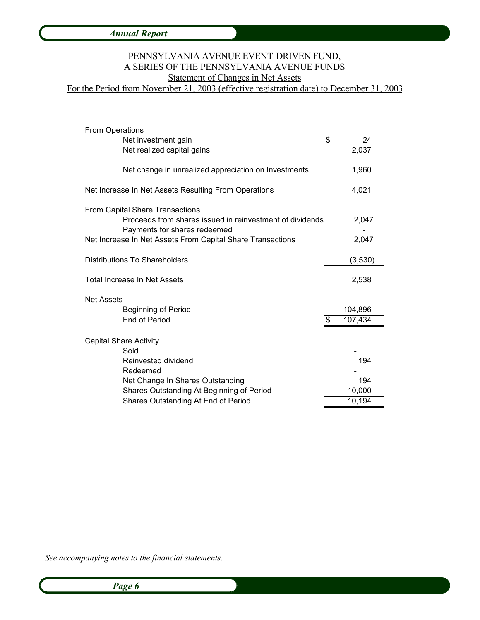### PENNSYLVANIA AVENUE EVENT-DRIVEN FUND, A SERIES OF THE PENNSYLVANIA AVENUE FUNDS Statement of Changes in Net Assets

For the Period from November 21, 2003 (effective registration date) to December 31, 2003

| From Operations                                                                          |    |         |  |
|------------------------------------------------------------------------------------------|----|---------|--|
| Net investment gain                                                                      | \$ | 24      |  |
| Net realized capital gains                                                               |    | 2,037   |  |
| Net change in unrealized appreciation on Investments                                     |    | 1,960   |  |
| Net Increase In Net Assets Resulting From Operations                                     |    | 4,021   |  |
| From Capital Share Transactions                                                          |    |         |  |
| Proceeds from shares issued in reinvestment of dividends<br>Payments for shares redeemed |    | 2,047   |  |
| Net Increase In Net Assets From Capital Share Transactions                               |    | 2,047   |  |
| Distributions To Shareholders                                                            |    | (3,530) |  |
| <b>Total Increase In Net Assets</b>                                                      |    | 2,538   |  |
| <b>Net Assets</b>                                                                        |    |         |  |
| <b>Beginning of Period</b>                                                               |    | 104,896 |  |
| <b>End of Period</b>                                                                     | \$ | 107,434 |  |
| <b>Capital Share Activity</b>                                                            |    |         |  |
| Sold                                                                                     |    |         |  |
| Reinvested dividend                                                                      |    | 194     |  |
| Redeemed                                                                                 |    |         |  |
| Net Change In Shares Outstanding                                                         |    | 194     |  |
| Shares Outstanding At Beginning of Period                                                |    | 10,000  |  |
| Shares Outstanding At End of Period                                                      |    | 10,194  |  |

*See accompanying notes to the financial statements*.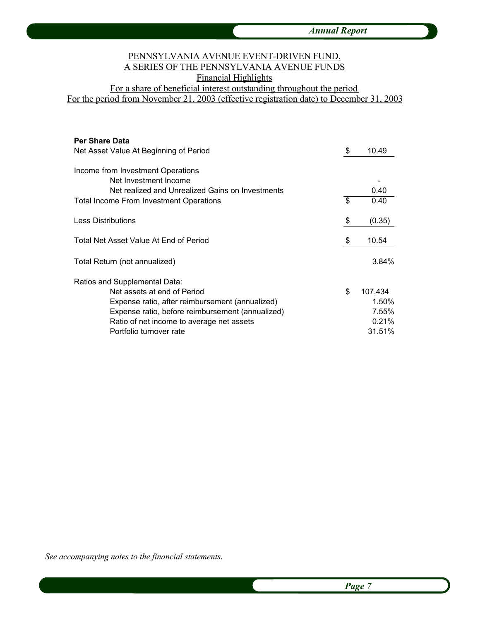### PENNSYLVANIA AVENUE EVENT-DRIVEN FUND, A SERIES OF THE PENNSYLVANIA AVENUE FUNDS Financial Highlights For a share of beneficial interest outstanding throughout the period For the period from November 21, 2003 (effective registration date) to December 31, 2003

**Per Share Data** Net Asset Value At Beginning of Period **\$ 10.49** Income from Investment Operations Net Investment Income Net realized and Unrealized Gains on Investments 0.40 Total Income From Investment Operations **by the COV COVERTS** 6.40 Less Distributions (0.35) Total Net Asset Value At End of Period  $\qquad \qquad \$  10.54 Total Return (not annualized) 3.84% Ratios and Supplemental Data: Net assets at end of Period **\$ 107,434** Expense ratio, after reimbursement (annualized) 1.50% Expense ratio, before reimbursement (annualized) 7.55% Ratio of net income to average net assets 0.21% Portfolio turnover rate 31.51%

*See accompanying notes to the financial statements*.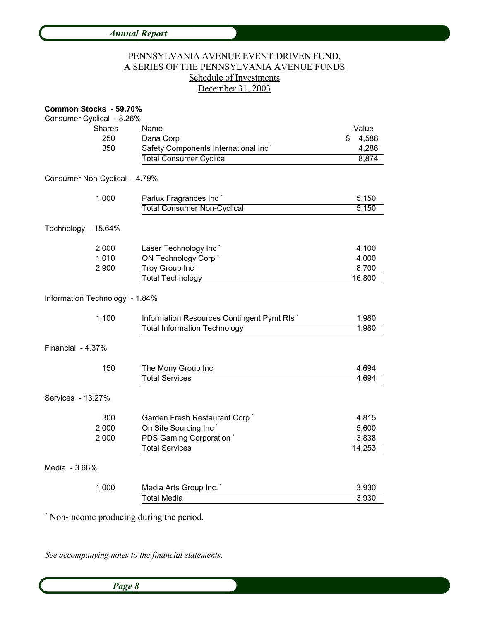# PENNSYLVANIA AVENUE EVENT-DRIVEN FUND, A SERIES OF THE PENNSYLVANIA AVENUE FUNDS Schedule of Investments December 31, 2003

### **Common Stocks - 59.70%** Consumer Cyclical - 8.26% Shares Name **Name Name** And *N*alue **Name** And *Name Value* And *Value* And *Name Value* 250 Dana Corp 3 250 Strategies and the set of the set of the set of the set of the set of the set of the set o 350 Safety Components International Inc \* 4,286 Total Consumer Cyclical 8,874 Consumer Non-Cyclical - 4.79% 1,000 Parlux Fragrances Inc \* 5,150 Total Consumer Non-Cyclical 5,150 Technology - 15.64% 2,000 Laser Technology Inc \* 4,100 1,010 ON Technology Corp \* 4,000 2,900 Troy Group Inc \* 8,700 Total Technology 16,800 Information Technology - 1.84% 1,100 Information Resources Contingent Pymt Rts<sup>\*</sup> 1,980 Total Information Technology 1,980 Financial - 4.37% 150 The Mony Group Inc **4,694** Total Services 4,694 Services - 13.27% 300 Garden Fresh Restaurant Corp \* 4,815 2,000 On Site Sourcing Inc \* 5,600 2,000 PDS Gaming Corporation \* 3,838 Total Services and the services of the services of the services of the services of the services of the services Media - 3.66% 1,000 Media Arts Group Inc. \* 3,930 Total Media 3,930

\* Non-income producing during the period.

*See accompanying notes to the financial statements*.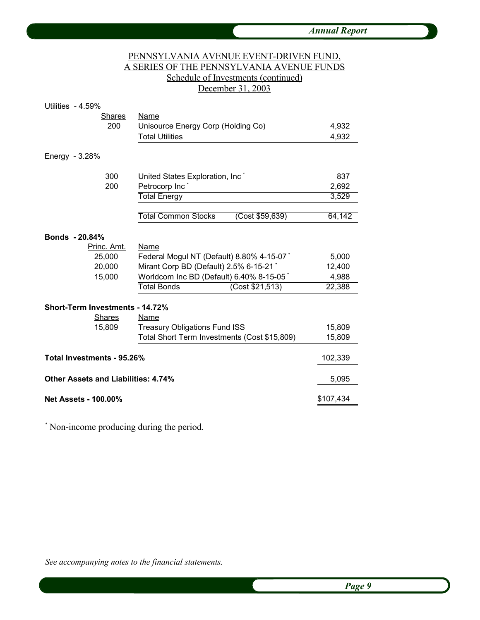### PENNSYLVANIA AVENUE EVENT-DRIVEN FUND, A SERIES OF THE PENNSYLVANIA AVENUE FUNDS Schedule of Investments (continued) December 31, 2003

#### Utilities - 4.59%

| <b>Shares</b>                              | <b>Name</b>                                   |           |
|--------------------------------------------|-----------------------------------------------|-----------|
| 200                                        | Unisource Energy Corp (Holding Co)            | 4,932     |
|                                            | <b>Total Utilities</b>                        | 4,932     |
|                                            |                                               |           |
| Energy $-3.28%$                            |                                               |           |
| 300                                        | United States Exploration, Inc <sup>*</sup>   | 837       |
| 200                                        | Petrocorp Inc                                 | 2,692     |
|                                            | <b>Total Energy</b>                           | 3,529     |
|                                            | <b>Total Common Stocks</b><br>(Cost \$59,639) | 64,142    |
| Bonds - 20.84%                             |                                               |           |
| <u>Princ. Amt.</u>                         | <b>Name</b>                                   |           |
| 25,000                                     | Federal Mogul NT (Default) 8.80% 4-15-07      | 5,000     |
| 20,000                                     | Mirant Corp BD (Default) 2.5% 6-15-21         | 12,400    |
| 15,000                                     | Worldcom Inc BD (Default) 6.40% 8-15-05*      | 4,988     |
|                                            | <b>Total Bonds</b><br>Cost \$21,513)          | 22,388    |
| <b>Short-Term Investments - 14.72%</b>     |                                               |           |
| <b>Shares</b>                              | <b>Name</b>                                   |           |
| 15,809                                     | <b>Treasury Obligations Fund ISS</b>          | 15,809    |
|                                            | Total Short Term Investments (Cost \$15,809)  | 15,809    |
| Total Investments - 95.26%                 | 102,339                                       |           |
| <b>Other Assets and Liabilities: 4.74%</b> | 5,095                                         |           |
| <b>Net Assets - 100.00%</b>                |                                               | \$107,434 |

\* Non-income producing during the period.

*See accompanying notes to the financial statements*.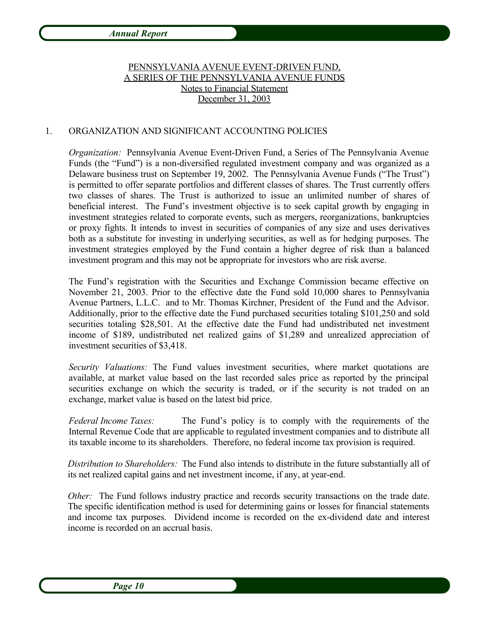# PENNSYLVANIA AVENUE EVENT-DRIVEN FUND, A SERIES OF THE PENNSYLVANIA AVENUE FUNDS Notes to Financial Statement December 31, 2003

### 1. ORGANIZATION AND SIGNIFICANT ACCOUNTING POLICIES

*Organization:* Pennsylvania Avenue Event-Driven Fund, a Series of The Pennsylvania Avenue Funds (the "Fund") is a non-diversified regulated investment company and was organized as a Delaware business trust on September 19, 2002. The Pennsylvania Avenue Funds ("The Trust") is permitted to offer separate portfolios and different classes of shares. The Trust currently offers two classes of shares. The Trust is authorized to issue an unlimited number of shares of beneficial interest. The Fund's investment objective is to seek capital growth by engaging in investment strategies related to corporate events, such as mergers, reorganizations, bankruptcies or proxy fights. It intends to invest in securities of companies of any size and uses derivatives both as a substitute for investing in underlying securities, as well as for hedging purposes. The investment strategies employed by the Fund contain a higher degree of risk than a balanced investment program and this may not be appropriate for investors who are risk averse.

The Fund's registration with the Securities and Exchange Commission became effective on November 21, 2003. Prior to the effective date the Fund sold 10,000 shares to Pennsylvania Avenue Partners, L.L.C. and to Mr. Thomas Kirchner, President of the Fund and the Advisor. Additionally, prior to the effective date the Fund purchased securities totaling \$101,250 and sold securities totaling \$28,501. At the effective date the Fund had undistributed net investment income of \$189, undistributed net realized gains of \$1,289 and unrealized appreciation of investment securities of \$3,418.

*Security Valuations:* The Fund values investment securities, where market quotations are available, at market value based on the last recorded sales price as reported by the principal securities exchange on which the security is traded, or if the security is not traded on an exchange, market value is based on the latest bid price.

*Federal Income Taxes:* The Fund's policy is to comply with the requirements of the Internal Revenue Code that are applicable to regulated investment companies and to distribute all its taxable income to its shareholders. Therefore, no federal income tax provision is required.

*Distribution to Shareholders:* The Fund also intends to distribute in the future substantially all of its net realized capital gains and net investment income, if any, at year-end.

*Other:* The Fund follows industry practice and records security transactions on the trade date. The specific identification method is used for determining gains or losses for financial statements and income tax purposes. Dividend income is recorded on the ex-dividend date and interest income is recorded on an accrual basis.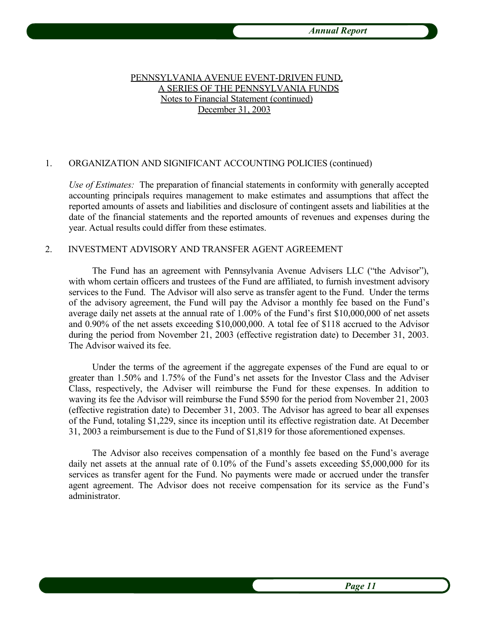### PENNSYLVANIA AVENUE EVENT-DRIVEN FUND, A SERIES OF THE PENNSYLVANIA FUNDS Notes to Financial Statement (continued) December 31, 2003

#### 1. ORGANIZATION AND SIGNIFICANT ACCOUNTING POLICIES (continued)

*Use of Estimates:* The preparation of financial statements in conformity with generally accepted accounting principals requires management to make estimates and assumptions that affect the reported amounts of assets and liabilities and disclosure of contingent assets and liabilities at the date of the financial statements and the reported amounts of revenues and expenses during the year. Actual results could differ from these estimates.

#### 2. INVESTMENT ADVISORY AND TRANSFER AGENT AGREEMENT

The Fund has an agreement with Pennsylvania Avenue Advisers LLC ("the Advisor"), with whom certain officers and trustees of the Fund are affiliated, to furnish investment advisory services to the Fund. The Advisor will also serve as transfer agent to the Fund. Under the terms of the advisory agreement, the Fund will pay the Advisor a monthly fee based on the Fund's average daily net assets at the annual rate of 1.00% of the Fund's first \$10,000,000 of net assets and 0.90% of the net assets exceeding \$10,000,000. A total fee of \$118 accrued to the Advisor during the period from November 21, 2003 (effective registration date) to December 31, 2003. The Advisor waived its fee.

Under the terms of the agreement if the aggregate expenses of the Fund are equal to or greater than 1.50% and 1.75% of the Fund's net assets for the Investor Class and the Adviser Class, respectively, the Adviser will reimburse the Fund for these expenses. In addition to waving its fee the Advisor will reimburse the Fund \$590 for the period from November 21, 2003 (effective registration date) to December 31, 2003. The Advisor has agreed to bear all expenses of the Fund, totaling \$1,229, since its inception until its effective registration date. At December 31, 2003 a reimbursement is due to the Fund of \$1,819 for those aforementioned expenses.

The Advisor also receives compensation of a monthly fee based on the Fund's average daily net assets at the annual rate of 0.10% of the Fund's assets exceeding \$5,000,000 for its services as transfer agent for the Fund. No payments were made or accrued under the transfer agent agreement. The Advisor does not receive compensation for its service as the Fund's administrator.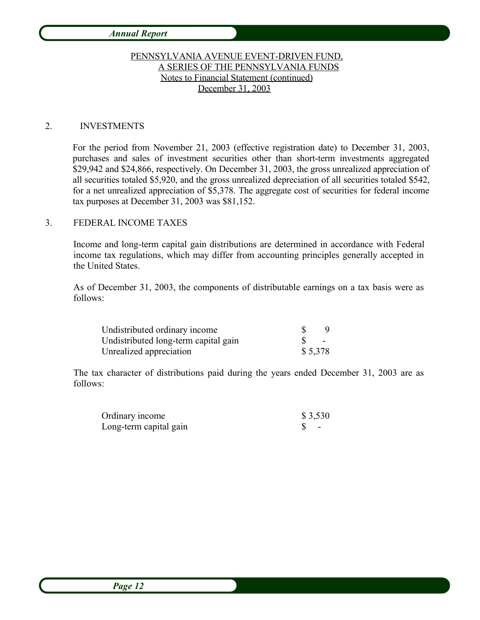# PENNSYLVANIA AVENUE EVENT-DRIVEN FUND, A SERIES OF THE PENNSYLVANIA FUNDS Notes to Financial Statement (continued) December 31, 2003

### 2. INVESTMENTS

For the period from November 21, 2003 (effective registration date) to December 31, 2003, purchases and sales of investment securities other than short-term investments aggregated \$29,942 and \$24,866, respectively. On December 31, 2003, the gross unrealized appreciation of all securities totaled \$5,920, and the gross unrealized depreciation of all securities totaled \$542, for a net unrealized appreciation of \$5,378. The aggregate cost of securities for federal income tax purposes at December 31, 2003 was \$81,152.

### 3. FEDERAL INCOME TAXES

Income and long-term capital gain distributions are determined in accordance with Federal income tax regulations, which may differ from accounting principles generally accepted in the United States.

As of December 31, 2003, the components of distributable earnings on a tax basis were as follows:

| Undistributed ordinary income        |         |  |
|--------------------------------------|---------|--|
| Undistributed long-term capital gain |         |  |
| Unrealized appreciation              | \$5,378 |  |

The tax character of distributions paid during the years ended December 31, 2003 are as follows:

| Ordinary income        | \$3,530 |
|------------------------|---------|
| Long-term capital gain | $\sim$  |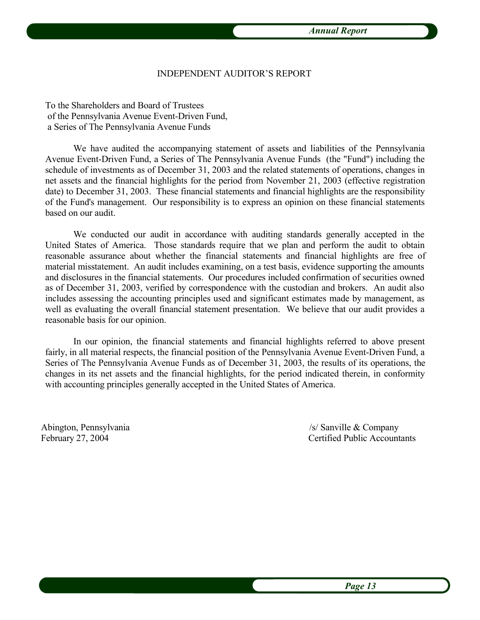#### INDEPENDENT AUDITOR'S REPORT

To the Shareholders and Board of Trustees of the Pennsylvania Avenue Event-Driven Fund, a Series of The Pennsylvania Avenue Funds

We have audited the accompanying statement of assets and liabilities of the Pennsylvania Avenue Event-Driven Fund, a Series of The Pennsylvania Avenue Funds (the "Fund") including the schedule of investments as of December 31, 2003 and the related statements of operations, changes in net assets and the financial highlights for the period from November 21, 2003 (effective registration date) to December 31, 2003. These financial statements and financial highlights are the responsibility of the Fund's management. Our responsibility is to express an opinion on these financial statements based on our audit.

We conducted our audit in accordance with auditing standards generally accepted in the United States of America. Those standards require that we plan and perform the audit to obtain reasonable assurance about whether the financial statements and financial highlights are free of material misstatement. An audit includes examining, on a test basis, evidence supporting the amounts and disclosures in the financial statements. Our procedures included confirmation of securities owned as of December 31, 2003, verified by correspondence with the custodian and brokers. An audit also includes assessing the accounting principles used and significant estimates made by management, as well as evaluating the overall financial statement presentation. We believe that our audit provides a reasonable basis for our opinion.

In our opinion, the financial statements and financial highlights referred to above present fairly, in all material respects, the financial position of the Pennsylvania Avenue Event-Driven Fund, a Series of The Pennsylvania Avenue Funds as of December 31, 2003, the results of its operations, the changes in its net assets and the financial highlights, for the period indicated therein, in conformity with accounting principles generally accepted in the United States of America.

Abington, Pennsylvania /s/ Sanville & Company<br>
February 27, 2004 Certified Public Account Certified Public Accountants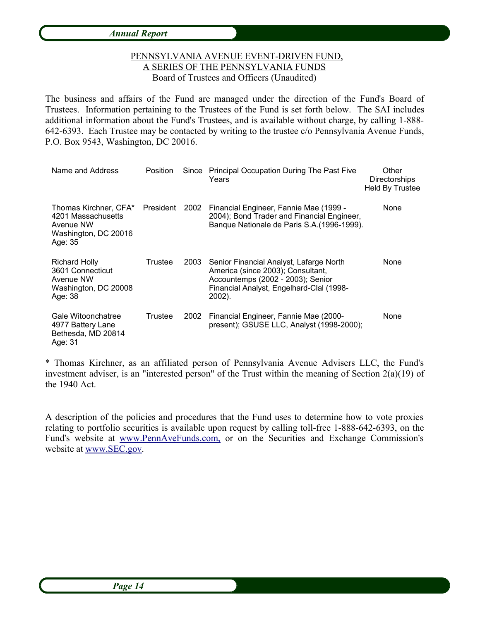# PENNSYLVANIA AVENUE EVENT-DRIVEN FUND, A SERIES OF THE PENNSYLVANIA FUNDS Board of Trustees and Officers (Unaudited)

The business and affairs of the Fund are managed under the direction of the Fund's Board of Trustees. Information pertaining to the Trustees of the Fund is set forth below. The SAI includes additional information about the Fund's Trustees, and is available without charge, by calling 1-888- 642-6393. Each Trustee may be contacted by writing to the trustee c/o Pennsylvania Avenue Funds, P.O. Box 9543, Washington, DC 20016.

| Name and Address                                                                            | <b>Position</b> | Since | Principal Occupation During The Past Five<br>Years                                                                                                                      | Other<br>Directorships<br><b>Held By Trustee</b> |
|---------------------------------------------------------------------------------------------|-----------------|-------|-------------------------------------------------------------------------------------------------------------------------------------------------------------------------|--------------------------------------------------|
| Thomas Kirchner, CFA*<br>4201 Massachusetts<br>Avenue NW<br>Washington, DC 20016<br>Age: 35 | President       | 2002  | Financial Engineer, Fannie Mae (1999 -<br>2004); Bond Trader and Financial Engineer,<br>Banque Nationale de Paris S.A. (1996-1999).                                     | None                                             |
| Richard Holly<br>3601 Connecticut<br>Avenue NW<br>Washington, DC 20008<br>Age: 38           | Trustee         | 2003  | Senior Financial Analyst, Lafarge North<br>America (since 2003); Consultant,<br>Accountemps (2002 - 2003); Senior<br>Financial Analyst, Engelhard-Clal (1998-<br>2002). | None                                             |
| Gale Witoonchatree<br>4977 Battery Lane<br>Bethesda, MD 20814<br>Age: 31                    | Trustee         | 2002  | Financial Engineer, Fannie Mae (2000-<br>present); GSUSE LLC, Analyst (1998-2000);                                                                                      | None                                             |

\* Thomas Kirchner, as an affiliated person of Pennsylvania Avenue Advisers LLC, the Fund's investment adviser, is an "interested person" of the Trust within the meaning of Section 2(a)(19) of the 1940 Act.

A description of the policies and procedures that the Fund uses to determine how to vote proxies relating to portfolio securities is available upon request by calling toll-free 1-888-642-6393, on the Fund's website at www.PennAveFunds.com, or on the Securities and Exchange Commission's website at www.SEC.gov.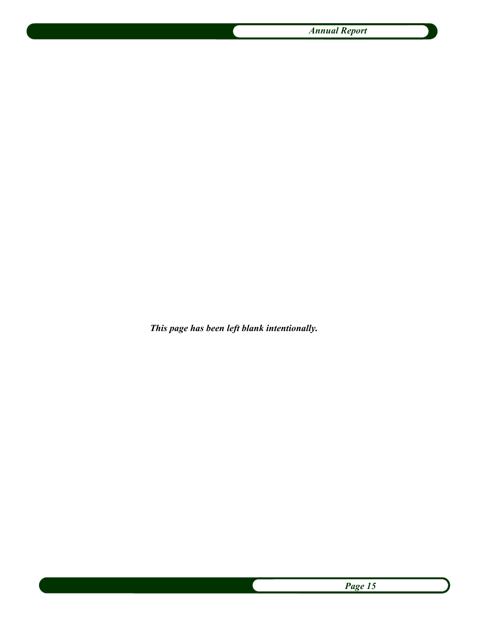*This page has been left blank intentionally.*